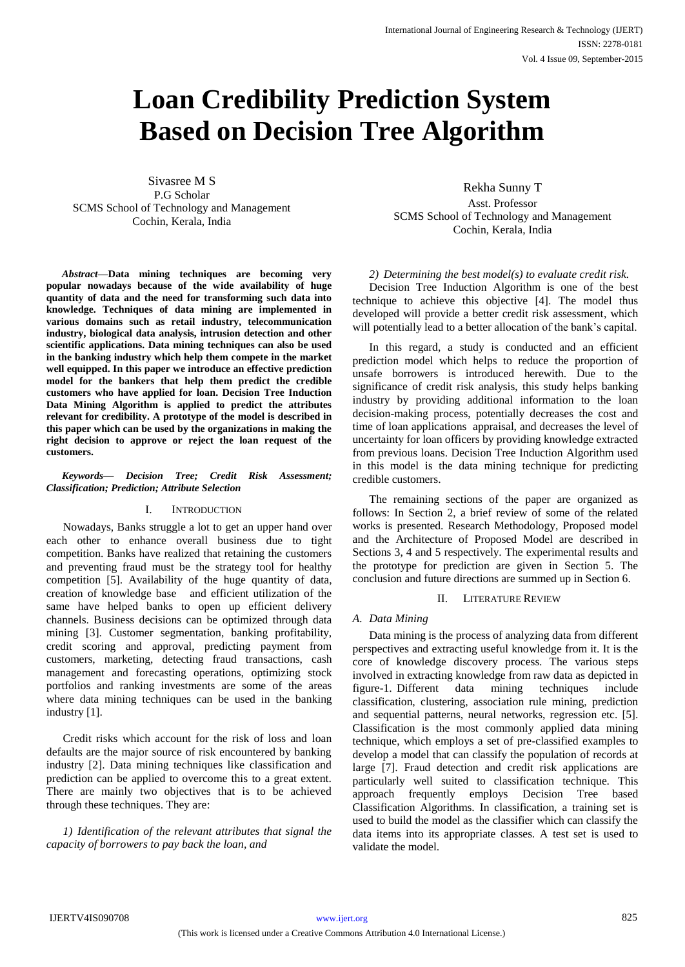# **Loan Credibility Prediction System Based on Decision Tree Algorithm**

Sivasree M S P.G Scholar SCMS School of Technology and Management Cochin, Kerala, India

*Abstract***—Data mining techniques are becoming very popular nowadays because of the wide availability of huge quantity of data and the need for transforming such data into knowledge. Techniques of data mining are implemented in various domains such as retail industry, telecommunication industry, biological data analysis, intrusion detection and other scientific applications. Data mining techniques can also be used in the banking industry which help them compete in the market well equipped. In this paper we introduce an effective prediction model for the bankers that help them predict the credible customers who have applied for loan. Decision Tree Induction Data Mining Algorithm is applied to predict the attributes relevant for credibility. A prototype of the model is described in this paper which can be used by the organizations in making the right decision to approve or reject the loan request of the customers.**

#### *Keywords— Decision Tree; Credit Risk Assessment; Classification; Prediction; Attribute Selection*

## I. INTRODUCTION

Nowadays, Banks struggle a lot to get an upper hand over each other to enhance overall business due to tight competition. Banks have realized that retaining the customers and preventing fraud must be the strategy tool for healthy competition [5]. Availability of the huge quantity of data, creation of knowledge base and efficient utilization of the same have helped banks to open up efficient delivery channels. Business decisions can be optimized through data mining [3]. Customer segmentation, banking profitability, credit scoring and approval, predicting payment from customers, marketing, detecting fraud transactions, cash management and forecasting operations, optimizing stock portfolios and ranking investments are some of the areas where data mining techniques can be used in the banking industry [1].

Credit risks which account for the risk of loss and loan defaults are the major source of risk encountered by banking industry [2]. Data mining techniques like classification and prediction can be applied to overcome this to a great extent. There are mainly two objectives that is to be achieved through these techniques. They are:

*1) Identification of the relevant attributes that signal the capacity of borrowers to pay back the loan, and*

Rekha Sunny T Asst. Professor SCMS School of Technology and Management Cochin, Kerala, India

## *2) Determining the best model(s) to evaluate credit risk.*

Decision Tree Induction Algorithm is one of the best technique to achieve this objective [4]. The model thus developed will provide a better credit risk assessment, which will potentially lead to a better allocation of the bank's capital.

In this regard, a study is conducted and an efficient prediction model which helps to reduce the proportion of unsafe borrowers is introduced herewith. Due to the significance of credit risk analysis, this study helps banking industry by providing additional information to the loan decision-making process, potentially decreases the cost and time of loan applications appraisal, and decreases the level of uncertainty for loan officers by providing knowledge extracted from previous loans. Decision Tree Induction Algorithm used in this model is the data mining technique for predicting credible customers.

The remaining sections of the paper are organized as follows: In Section 2, a brief review of some of the related works is presented. Research Methodology, Proposed model and the Architecture of Proposed Model are described in Sections 3, 4 and 5 respectively. The experimental results and the prototype for prediction are given in Section 5. The conclusion and future directions are summed up in Section 6.

# II. LITERATURE REVIEW

# *A. Data Mining*

Data mining is the process of analyzing data from different perspectives and extracting useful knowledge from it. It is the core of knowledge discovery process. The various steps involved in extracting knowledge from raw data as depicted in figure-1. Different data mining techniques include classification, clustering, association rule mining, prediction and sequential patterns, neural networks, regression etc. [5]. Classification is the most commonly applied data mining technique, which employs a set of pre-classified examples to develop a model that can classify the population of records at large [7]. Fraud detection and credit risk applications are particularly well suited to classification technique. This approach frequently employs Decision Tree based Classification Algorithms. In classification, a training set is used to build the model as the classifier which can classify the data items into its appropriate classes. A test set is used to validate the model.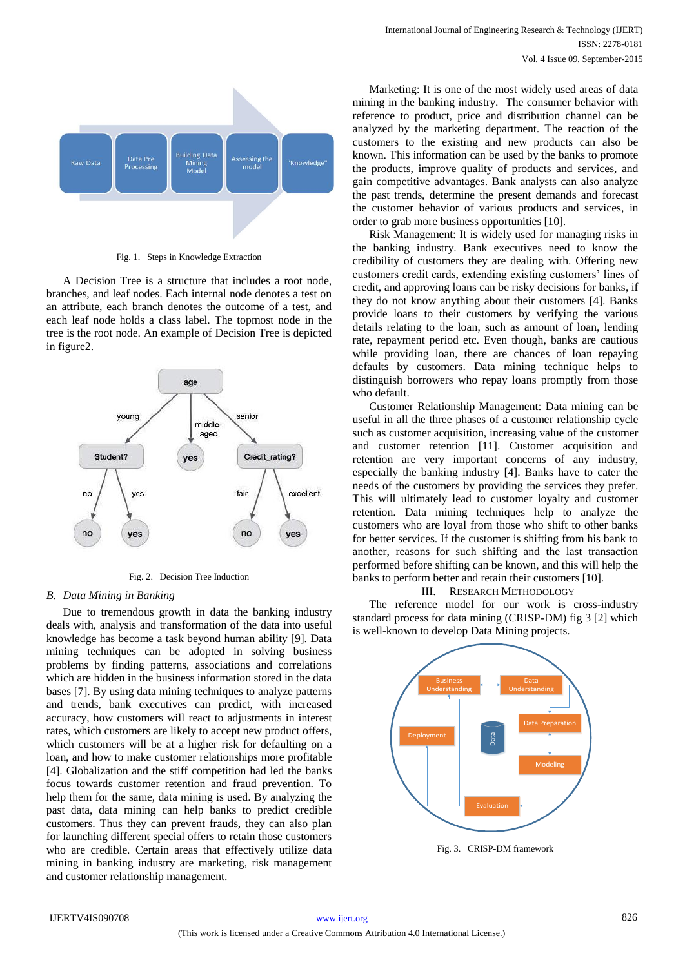

Fig. 1. Steps in Knowledge Extraction

A Decision Tree is a structure that includes a root node, branches, and leaf nodes. Each internal node denotes a test on an attribute, each branch denotes the outcome of a test, and each leaf node holds a class label. The topmost node in the tree is the root node. An example of Decision Tree is depicted in figure2.



Fig. 2. Decision Tree Induction

#### *B. Data Mining in Banking*

Due to tremendous growth in data the banking industry deals with, analysis and transformation of the data into useful knowledge has become a task beyond human ability [9]. Data mining techniques can be adopted in solving business problems by finding patterns, associations and correlations which are hidden in the business information stored in the data bases [7]. By using data mining techniques to analyze patterns and trends, bank executives can predict, with increased accuracy, how customers will react to adjustments in interest rates, which customers are likely to accept new product offers, which customers will be at a higher risk for defaulting on a loan, and how to make customer relationships more profitable [4]. Globalization and the stiff competition had led the banks focus towards customer retention and fraud prevention. To help them for the same, data mining is used. By analyzing the past data, data mining can help banks to predict credible customers. Thus they can prevent frauds, they can also plan for launching different special offers to retain those customers who are credible. Certain areas that effectively utilize data mining in banking industry are marketing, risk management and customer relationship management.

Marketing: It is one of the most widely used areas of data mining in the banking industry. The consumer behavior with reference to product, price and distribution channel can be analyzed by the marketing department. The reaction of the customers to the existing and new products can also be known. This information can be used by the banks to promote the products, improve quality of products and services, and gain competitive advantages. Bank analysts can also analyze the past trends, determine the present demands and forecast the customer behavior of various products and services, in order to grab more business opportunities [10].

Risk Management: It is widely used for managing risks in the banking industry. Bank executives need to know the credibility of customers they are dealing with. Offering new customers credit cards, extending existing customers' lines of credit, and approving loans can be risky decisions for banks, if they do not know anything about their customers [4]. Banks provide loans to their customers by verifying the various details relating to the loan, such as amount of loan, lending rate, repayment period etc. Even though, banks are cautious while providing loan, there are chances of loan repaying defaults by customers. Data mining technique helps to distinguish borrowers who repay loans promptly from those who default.

Customer Relationship Management: Data mining can be useful in all the three phases of a customer relationship cycle such as customer acquisition, increasing value of the customer and customer retention [11]. Customer acquisition and retention are very important concerns of any industry, especially the banking industry [4]. Banks have to cater the needs of the customers by providing the services they prefer. This will ultimately lead to customer loyalty and customer retention. Data mining techniques help to analyze the customers who are loyal from those who shift to other banks for better services. If the customer is shifting from his bank to another, reasons for such shifting and the last transaction performed before shifting can be known, and this will help the banks to perform better and retain their customers [10].

#### III. RESEARCH METHODOLOGY

The reference model for our work is cross-industry standard process for data mining (CRISP-DM) fig 3 [2] which is well-known to develop Data Mining projects.

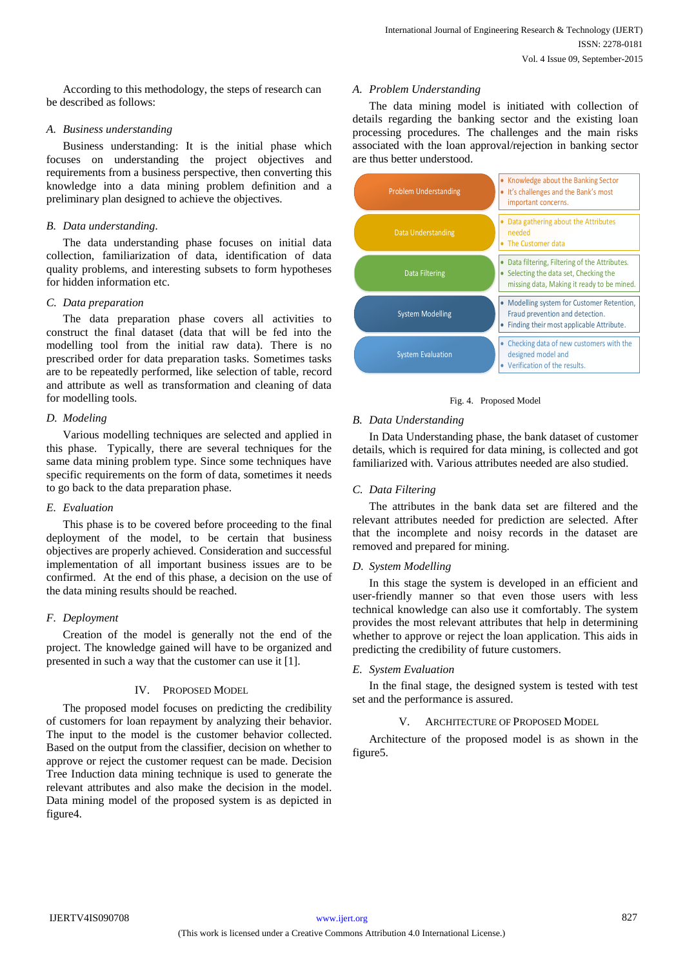According to this methodology, the steps of research can be described as follows:

## *A. Business understanding*

Business understanding: It is the initial phase which focuses on understanding the project objectives and requirements from a business perspective, then converting this knowledge into a data mining problem definition and a preliminary plan designed to achieve the objectives.

# *B. Data understanding.*

The data understanding phase focuses on initial data collection, familiarization of data, identification of data quality problems, and interesting subsets to form hypotheses for hidden information etc.

# *C. Data preparation*

The data preparation phase covers all activities to construct the final dataset (data that will be fed into the modelling tool from the initial raw data). There is no prescribed order for data preparation tasks. Sometimes tasks are to be repeatedly performed, like selection of table, record and attribute as well as transformation and cleaning of data for modelling tools.

## *D. Modeling*

Various modelling techniques are selected and applied in this phase. Typically, there are several techniques for the same data mining problem type. Since some techniques have specific requirements on the form of data, sometimes it needs to go back to the data preparation phase.

## *E. Evaluation*

This phase is to be covered before proceeding to the final deployment of the model, to be certain that business objectives are properly achieved. Consideration and successful implementation of all important business issues are to be confirmed. At the end of this phase, a decision on the use of the data mining results should be reached.

# *F. Deployment*

Creation of the model is generally not the end of the project. The knowledge gained will have to be organized and presented in such a way that the customer can use it [1].

# IV. PROPOSED MODEL

The proposed model focuses on predicting the credibility of customers for loan repayment by analyzing their behavior. The input to the model is the customer behavior collected. Based on the output from the classifier, decision on whether to approve or reject the customer request can be made. Decision Tree Induction data mining technique is used to generate the relevant attributes and also make the decision in the model. Data mining model of the proposed system is as depicted in figure4.

## *A. Problem Understanding*

The data mining model is initiated with collection of details regarding the banking sector and the existing loan processing procedures. The challenges and the main risks associated with the loan approval/rejection in banking sector are thus better understood.



## Fig. 4. Proposed Model

# *B. Data Understanding*

In Data Understanding phase, the bank dataset of customer details, which is required for data mining, is collected and got familiarized with. Various attributes needed are also studied.

# *C. Data Filtering*

The attributes in the bank data set are filtered and the relevant attributes needed for prediction are selected. After that the incomplete and noisy records in the dataset are removed and prepared for mining.

## *D. System Modelling*

In this stage the system is developed in an efficient and user-friendly manner so that even those users with less technical knowledge can also use it comfortably. The system provides the most relevant attributes that help in determining whether to approve or reject the loan application. This aids in predicting the credibility of future customers.

## *E. System Evaluation*

In the final stage, the designed system is tested with test set and the performance is assured.

## ARCHITECTURE OF PROPOSED MODEL

Architecture of the proposed model is as shown in the figure5.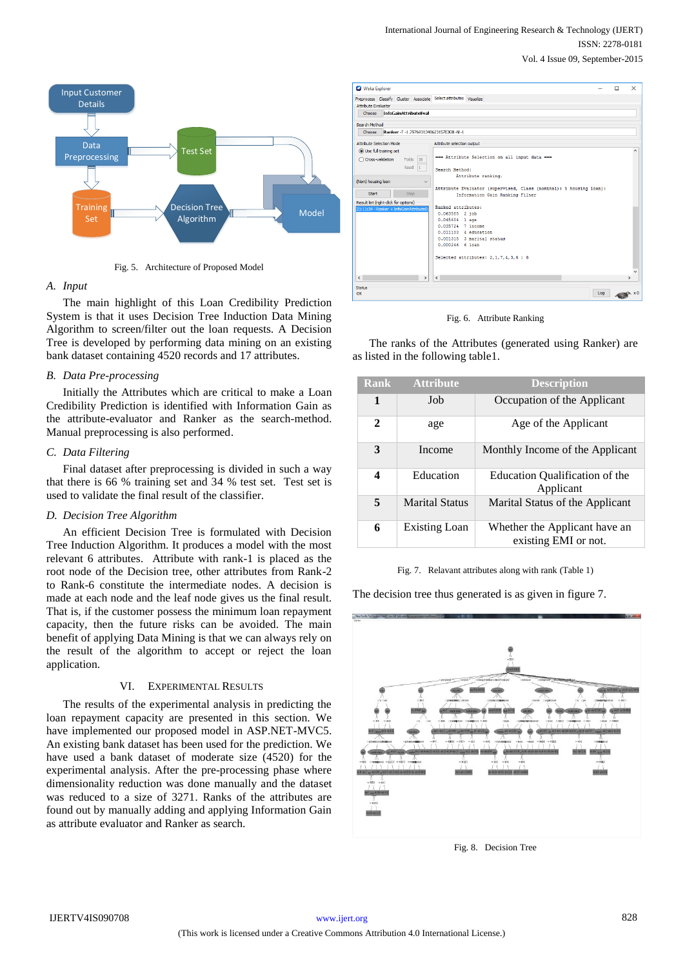

Fig. 5. Architecture of Proposed Model

## *A. Input*

The main highlight of this Loan Credibility Prediction System is that it uses Decision Tree Induction Data Mining Algorithm to screen/filter out the loan requests. A Decision Tree is developed by performing data mining on an existing bank dataset containing 4520 records and 17 attributes.

#### *B. Data Pre-processing*

Initially the Attributes which are critical to make a Loan Credibility Prediction is identified with Information Gain as the attribute-evaluator and Ranker as the search-method. Manual preprocessing is also performed.

#### *C. Data Filtering*

Final dataset after preprocessing is divided in such a way that there is 66 % training set and 34 % test set. Test set is used to validate the final result of the classifier.

## *D. Decision Tree Algorithm*

An efficient Decision Tree is formulated with Decision Tree Induction Algorithm. It produces a model with the most relevant 6 attributes. Attribute with rank-1 is placed as the root node of the Decision tree, other attributes from Rank-2 to Rank-6 constitute the intermediate nodes. A decision is made at each node and the leaf node gives us the final result. That is, if the customer possess the minimum loan repayment capacity, then the future risks can be avoided. The main benefit of applying Data Mining is that we can always rely on the result of the algorithm to accept or reject the loan application.

## VI. EXPERIMENTAL RESULTS

The results of the experimental analysis in predicting the loan repayment capacity are presented in this section. We have implemented our proposed model in ASP.NET-MVC5. An existing bank dataset has been used for the prediction. We have used a bank dataset of moderate size (4520) for the experimental analysis. After the pre-processing phase where dimensionality reduction was done manually and the dataset was reduced to a size of 3271. Ranks of the attributes are found out by manually adding and applying Information Gain as attribute evaluator and Ranker as search.



Fig. 6. Attribute Ranking

The ranks of the Attributes (generated using Ranker) are as listed in the following table1.

| <b>Rank</b> | <b>Attribute</b>      | <b>Description</b>                                    |
|-------------|-----------------------|-------------------------------------------------------|
| 1           | Job                   | Occupation of the Applicant                           |
| 2           | age                   | Age of the Applicant                                  |
| 3           | Income                | Monthly Income of the Applicant                       |
| 4           | Education             | Education Qualification of the<br>Applicant           |
| 5           | <b>Marital Status</b> | Marital Status of the Applicant                       |
| 6           | <b>Existing Loan</b>  | Whether the Applicant have an<br>existing EMI or not. |

Fig. 7. Relavant attributes along with rank (Table 1)

The decision tree thus generated is as given in figure 7.



Fig. 8. Decision Tree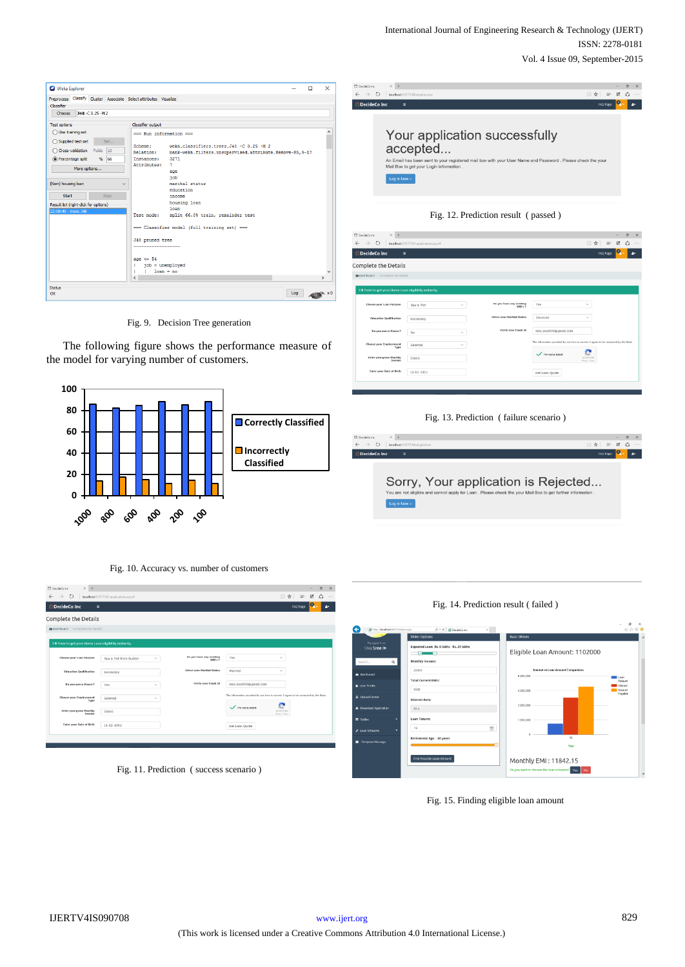| Weka Explorer                                                     |                                  |                                                          |     | $\Box$ | $\times$                       |
|-------------------------------------------------------------------|----------------------------------|----------------------------------------------------------|-----|--------|--------------------------------|
| Preprocess Classify Cluster Associate Select attributes Visualize |                                  |                                                          |     |        |                                |
| <b>Classifier</b>                                                 |                                  |                                                          |     |        |                                |
| 348 -C 0.25 -M 2<br>Choose                                        |                                  |                                                          |     |        |                                |
| <b>Test options</b>                                               | Classifier output                |                                                          |     |        |                                |
| $\bigcap$ Use training set                                        | === Run information ===          |                                                          |     |        |                                |
| $\bigcap$ Supplied test set<br>Set                                |                                  |                                                          |     |        |                                |
| Cross-validation Folds<br>10                                      | Scheme:                          | weka.classifiers.trees.J48 -C 0.25 -M 2                  |     |        |                                |
|                                                                   | <b>Relation:</b>                 | bank-weka.filters.unsupervised.attribute.Remove-R5, 9-17 |     |        |                                |
| (a) Percentage split<br>66<br>$\frac{9}{6}$                       | Instances:<br><b>Attributes:</b> | 3271<br>$\overline{7}$                                   |     |        |                                |
| More options                                                      |                                  |                                                          |     |        |                                |
|                                                                   |                                  | age<br>iob                                               |     |        |                                |
| (Nom) housing loan<br>$\checkmark$                                |                                  | marital status                                           |     |        |                                |
|                                                                   |                                  | education                                                |     |        |                                |
| Start<br><b>Stop</b>                                              |                                  | income                                                   |     |        |                                |
|                                                                   |                                  | housing loan                                             |     |        |                                |
| Result list (right-click for options)                             |                                  | loan                                                     |     |        |                                |
| 22:08:49 - trees. 348                                             | Test mode:                       | split 66.0% train, remainder test                        |     |        |                                |
|                                                                   |                                  | === Classifier model (full training set) ===             |     |        |                                |
|                                                                   | J48 pruned tree                  |                                                          |     |        |                                |
|                                                                   | ------------------               |                                                          |     |        |                                |
|                                                                   | age $\leq$ 54                    |                                                          |     |        |                                |
|                                                                   | $10b =$ unemploved<br>г          |                                                          |     |        |                                |
|                                                                   | $1$ loan = no<br>٠               |                                                          |     |        |                                |
|                                                                   | $\langle$                        |                                                          |     |        | $\mathcal{P}$                  |
| <b>Status</b>                                                     |                                  |                                                          |     |        |                                |
| OK                                                                |                                  |                                                          | Log |        | $\mathbf{k} \times \mathbf{0}$ |
|                                                                   |                                  |                                                          |     |        |                                |

Fig. 9. Decision Tree generation

The following figure shows the performance measure of the model for varying number of customers.



Fig. 10. Accuracy vs. number of customers

| $\rightarrow$<br>$\circ$<br>$\leftarrow$               | localhost 63977/fill-application.aspx# |        |                                            |                                                                                     |                                    | □ ☆      | $\equiv$ | $\sigma$<br>図<br>۵ | $\times$<br>$\cdots$ |
|--------------------------------------------------------|----------------------------------------|--------|--------------------------------------------|-------------------------------------------------------------------------------------|------------------------------------|----------|----------|--------------------|----------------------|
| <b>O</b> DecideCo Inc<br>$\equiv$                      |                                        |        |                                            |                                                                                     |                                    | FAQ Page |          |                    | $\mathbf{r}$         |
| Complete the Details                                   |                                        |        |                                            |                                                                                     |                                    |          |          |                    |                      |
| <b>&amp; Dashboard</b> / Complete the Details          |                                        |        |                                            |                                                                                     |                                    |          |          |                    |                      |
| Fill form to get your Home Loan eligibility instantly. |                                        |        |                                            |                                                                                     |                                    |          |          |                    |                      |
|                                                        |                                        |        |                                            |                                                                                     |                                    |          |          |                    |                      |
| Choose your Loan Purpose                               | Buy a Flat from Builder                | $\sim$ | Do you have any existing<br><b>EMI's 7</b> | Yes                                                                                 | $\sim$                             |          |          |                    |                      |
| <b>Education Qualification</b>                         | Secondary                              |        | <b>Select your Maritial Status</b>         | Married                                                                             | $\sim$                             |          |          |                    |                      |
| Do you own a House ?                                   | Yes                                    | $\sim$ | Verify your Email Id.                      | sree.siva999@gmail.com                                                              |                                    |          |          |                    |                      |
| Choose your Employement<br>Type                        | Salaried                               | $\sim$ |                                            | The information provided by me here is correct. I agree to be contacted by the Bank |                                    |          |          |                    |                      |
| <b>Enter your gross Monthly</b><br>Income              | S6666                                  |        |                                            | $\checkmark$ m not a robot                                                          | HOAPTONA<br><b>Privacy - Terms</b> |          |          |                    |                      |
|                                                        | 11-02-1992                             |        |                                            | Get Loan Quote                                                                      |                                    |          |          |                    |                      |

Fig. 11. Prediction ( success scenario )

| J. LINEKINGUD BYL.<br>$\leftrightarrow$ 0                                                                                                                                                                           | localhost 63977/MiningSuccess          |                                     |          | □☆<br>$\equiv$ | <b>ZA</b><br>$\cdots$ |  |  |  |
|---------------------------------------------------------------------------------------------------------------------------------------------------------------------------------------------------------------------|----------------------------------------|-------------------------------------|----------|----------------|-----------------------|--|--|--|
| DecideCo Inc<br>$\equiv$                                                                                                                                                                                            |                                        |                                     |          | FAQ Page       | o.<br>$\Delta \tau$   |  |  |  |
| Your application successfully<br>accepted<br>An Email has been sent to your registered mail box with your User Name and Password . Please check the your<br>Mail Box to get your Login information.<br>Log in Now » |                                        |                                     |          |                |                       |  |  |  |
|                                                                                                                                                                                                                     |                                        | Fig. 12. Prediction result (passed) |          |                |                       |  |  |  |
| DecideCo inc<br>$\times$ +                                                                                                                                                                                          |                                        |                                     |          | □☆<br>$=$      | 図                     |  |  |  |
| $\circ$<br>$\rightarrow$<br><b>DecideCo Inc</b><br>$\equiv$                                                                                                                                                         | localhost 63977/fill-application.aspx# |                                     |          | FAQ Page       |                       |  |  |  |
| omplete the Details<br>Dashboard / Complete the Details                                                                                                                                                             |                                        |                                     |          |                |                       |  |  |  |
| Fill form to get your Home Loan eligibility instantly                                                                                                                                                               |                                        |                                     |          |                |                       |  |  |  |
| Choose your Loan Purpose                                                                                                                                                                                            | Buy a Plot                             | Do you have any existing<br>EMI's ? | Yes      |                |                       |  |  |  |
| <b>Education Qualification</b>                                                                                                                                                                                      | Secondary                              | <b>Select your Maritial Status</b>  | Divorced |                |                       |  |  |  |

ľ

ľ

e  $\checkmark$  m not a robo S6660  $10-01-195$ Get Loan Quote

#### Fig. 13. Prediction ( failure scenario )





Fig. 14. Prediction result ( failed )

Fig. 15. Finding eligible loan amount